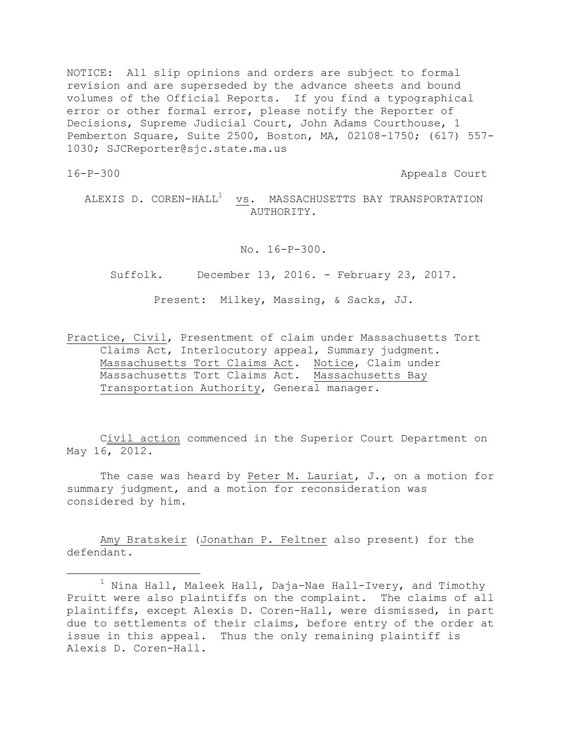NOTICE: All slip opinions and orders are subject to formal revision and are superseded by the advance sheets and bound volumes of the Official Reports. If you find a typographical error or other formal error, please notify the Reporter of Decisions, Supreme Judicial Court, John Adams Courthouse, 1 Pemberton Square, Suite 2500, Boston, MA, 02108-1750; (617) 557- 1030; SJCReporter@sjc.state.ma.us

÷.

16-P-300 Appeals Court

ALEXIS D.  $COREN-HALL<sup>1</sup>$  vs. MASSACHUSETTS BAY TRANSPORTATION AUTHORITY.

No. 16-P-300.

Suffolk. December 13, 2016. - February 23, 2017.

Present: Milkey, Massing, & Sacks, JJ.

Practice, Civil, Presentment of claim under Massachusetts Tort Claims Act, Interlocutory appeal, Summary judgment. Massachusetts Tort Claims Act. Notice, Claim under Massachusetts Tort Claims Act. Massachusetts Bay Transportation Authority, General manager.

Civil action commenced in the Superior Court Department on May 16, 2012.

The case was heard by Peter M. Lauriat, J., on a motion for summary judgment, and a motion for reconsideration was considered by him.

Amy Bratskeir (Jonathan P. Feltner also present) for the defendant.

 $1$  Nina Hall, Maleek Hall, Daja-Nae Hall-Ivery, and Timothy Pruitt were also plaintiffs on the complaint. The claims of all plaintiffs, except Alexis D. Coren-Hall, were dismissed, in part due to settlements of their claims, before entry of the order at issue in this appeal. Thus the only remaining plaintiff is Alexis D. Coren-Hall.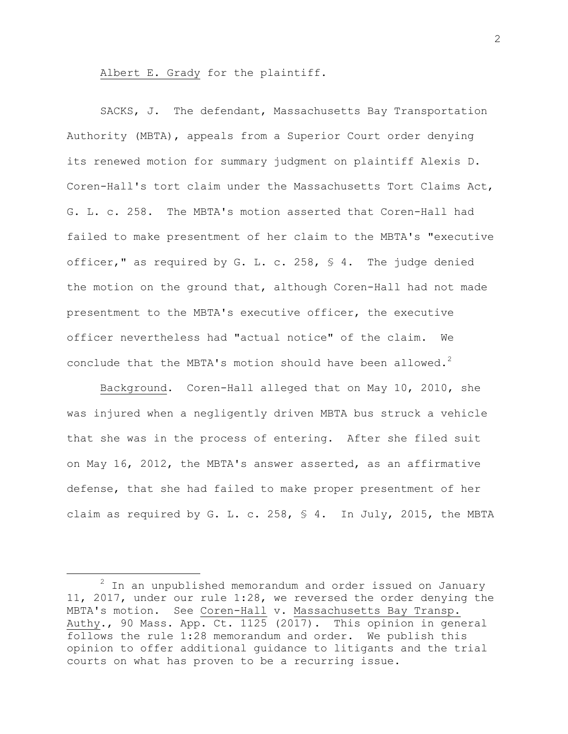Albert E. Grady for the plaintiff.

SACKS, J. The defendant, Massachusetts Bay Transportation Authority (MBTA), appeals from a Superior Court order denying its renewed motion for summary judgment on plaintiff Alexis D. Coren-Hall's tort claim under the Massachusetts Tort Claims Act, G. L. c. 258. The MBTA's motion asserted that Coren-Hall had failed to make presentment of her claim to the MBTA's "executive officer," as required by G. L. c. 258, § 4. The judge denied the motion on the ground that, although Coren-Hall had not made presentment to the MBTA's executive officer, the executive officer nevertheless had "actual notice" of the claim. We conclude that the MBTA's motion should have been allowed.<sup>2</sup>

Background. Coren-Hall alleged that on May 10, 2010, she was injured when a negligently driven MBTA bus struck a vehicle that she was in the process of entering. After she filed suit on May 16, 2012, the MBTA's answer asserted, as an affirmative defense, that she had failed to make proper presentment of her claim as required by G. L. c. 258, § 4. In July, 2015, the MBTA

÷.

 $2$  In an unpublished memorandum and order issued on January 11, 2017, under our rule 1:28, we reversed the order denying the MBTA's motion. See Coren-Hall v. Massachusetts Bay Transp. Authy., 90 Mass. App. Ct. 1125 (2017). This opinion in general follows the rule 1:28 memorandum and order. We publish this opinion to offer additional guidance to litigants and the trial courts on what has proven to be a recurring issue.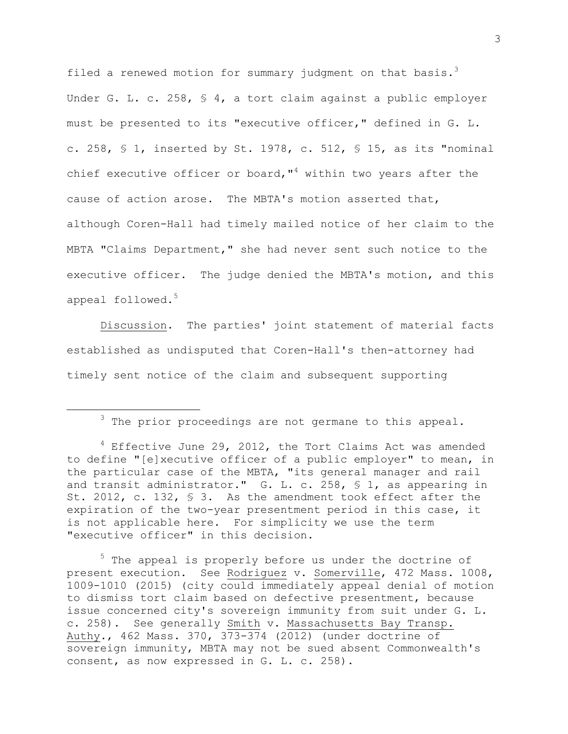filed a renewed motion for summary judgment on that basis.<sup>3</sup> Under G. L. c. 258, § 4, a tort claim against a public employer must be presented to its "executive officer," defined in G. L. c. 258,  $\leq$  1, inserted by St. 1978, c. 512,  $\leq$  15, as its "nominal chief executive officer or board,  $14$  within two years after the cause of action arose. The MBTA's motion asserted that, although Coren-Hall had timely mailed notice of her claim to the MBTA "Claims Department," she had never sent such notice to the executive officer. The judge denied the MBTA's motion, and this appeal followed.<sup>5</sup>

Discussion. The parties' joint statement of material facts established as undisputed that Coren-Hall's then-attorney had timely sent notice of the claim and subsequent supporting

÷.

<sup>5</sup> The appeal is properly before us under the doctrine of present execution. See Rodriguez v. Somerville, 472 Mass. 1008, 1009-1010 (2015) (city could immediately appeal denial of motion to dismiss tort claim based on defective presentment, because issue concerned city's sovereign immunity from suit under G. L. c. 258). See generally Smith v. Massachusetts Bay Transp. Authy., 462 Mass. 370, 373-374 (2012) (under doctrine of sovereign immunity, MBTA may not be sued absent Commonwealth's consent, as now expressed in G. L. c. 258).

 $3$  The prior proceedings are not germane to this appeal.

 $4$  Effective June 29, 2012, the Tort Claims Act was amended to define "[e]xecutive officer of a public employer" to mean, in the particular case of the MBTA, "its general manager and rail and transit administrator." G. L. c. 258, § 1, as appearing in St. 2012, c. 132, § 3. As the amendment took effect after the expiration of the two-year presentment period in this case, it is not applicable here. For simplicity we use the term "executive officer" in this decision.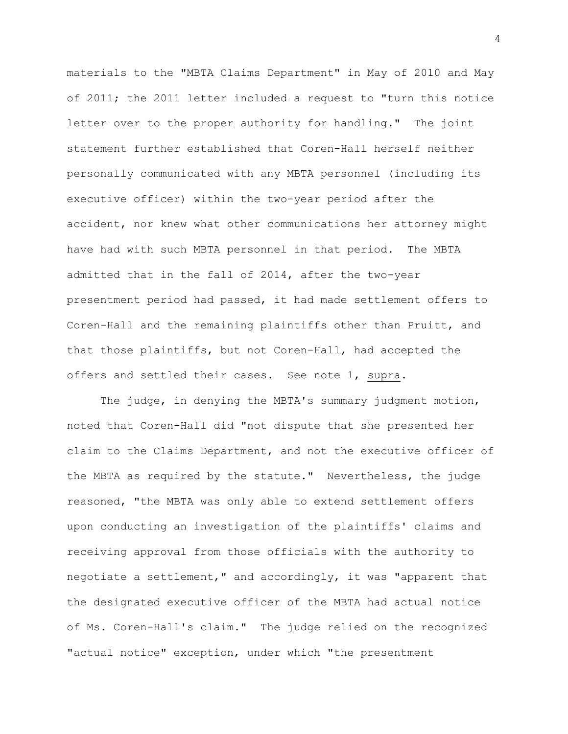materials to the "MBTA Claims Department" in May of 2010 and May of 2011; the 2011 letter included a request to "turn this notice letter over to the proper authority for handling." The joint statement further established that Coren-Hall herself neither personally communicated with any MBTA personnel (including its executive officer) within the two-year period after the accident, nor knew what other communications her attorney might have had with such MBTA personnel in that period. The MBTA admitted that in the fall of 2014, after the two-year presentment period had passed, it had made settlement offers to Coren-Hall and the remaining plaintiffs other than Pruitt, and that those plaintiffs, but not Coren-Hall, had accepted the offers and settled their cases. See note 1, supra.

The judge, in denying the MBTA's summary judgment motion, noted that Coren-Hall did "not dispute that she presented her claim to the Claims Department, and not the executive officer of the MBTA as required by the statute." Nevertheless, the judge reasoned, "the MBTA was only able to extend settlement offers upon conducting an investigation of the plaintiffs' claims and receiving approval from those officials with the authority to negotiate a settlement," and accordingly, it was "apparent that the designated executive officer of the MBTA had actual notice of Ms. Coren-Hall's claim." The judge relied on the recognized "actual notice" exception, under which "the presentment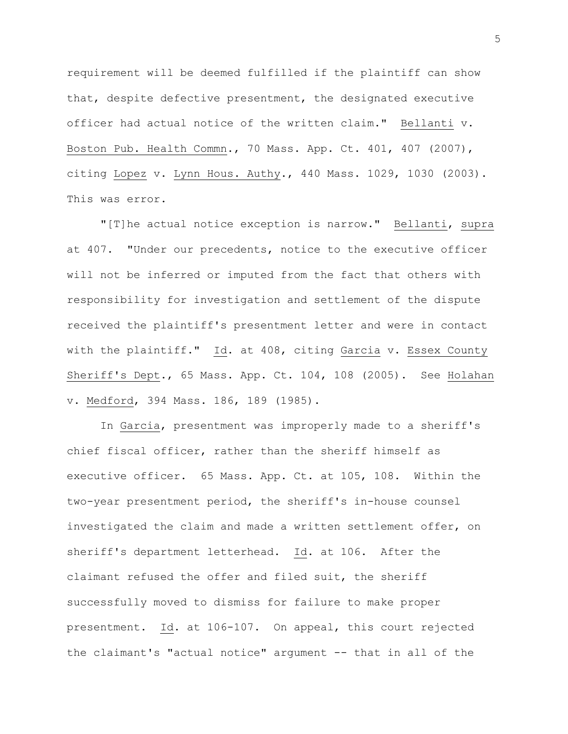requirement will be deemed fulfilled if the plaintiff can show that, despite defective presentment, the designated executive officer had actual notice of the written claim." Bellanti v. Boston Pub. Health Commn., 70 Mass. App. Ct. 401, 407 (2007), citing Lopez v. Lynn Hous. Authy., 440 Mass. 1029, 1030 (2003). This was error.

"[T]he actual notice exception is narrow." Bellanti, supra at 407. "Under our precedents, notice to the executive officer will not be inferred or imputed from the fact that others with responsibility for investigation and settlement of the dispute received the plaintiff's presentment letter and were in contact with the plaintiff." Id. at 408, citing Garcia v. Essex County Sheriff's Dept., 65 Mass. App. Ct. 104, 108 (2005). See Holahan v. Medford, 394 Mass. 186, 189 (1985).

In Garcia, presentment was improperly made to a sheriff's chief fiscal officer, rather than the sheriff himself as executive officer. 65 Mass. App. Ct. at 105, 108. Within the two-year presentment period, the sheriff's in-house counsel investigated the claim and made a written settlement offer, on sheriff's department letterhead. Id. at 106. After the claimant refused the offer and filed suit, the sheriff successfully moved to dismiss for failure to make proper presentment. Id. at 106-107. On appeal, this court rejected the claimant's "actual notice" argument -- that in all of the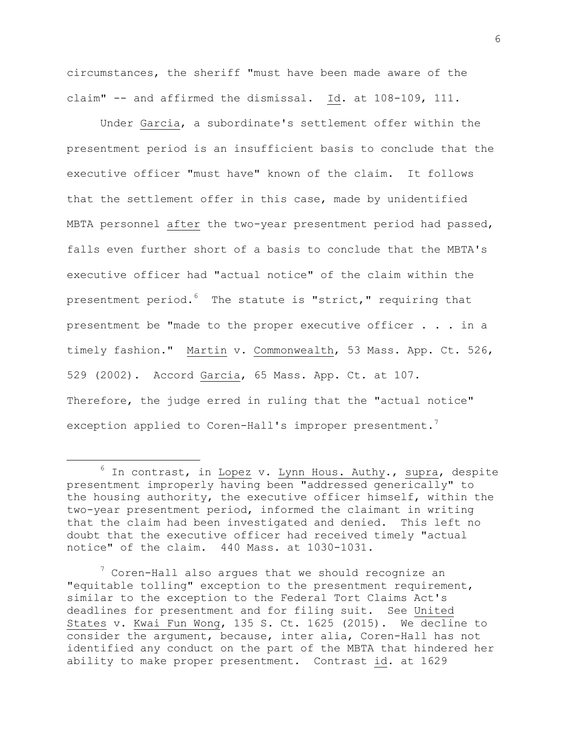circumstances, the sheriff "must have been made aware of the claim" -- and affirmed the dismissal. Id. at 108-109, 111.

Under Garcia, a subordinate's settlement offer within the presentment period is an insufficient basis to conclude that the executive officer "must have" known of the claim. It follows that the settlement offer in this case, made by unidentified MBTA personnel after the two-year presentment period had passed, falls even further short of a basis to conclude that the MBTA's executive officer had "actual notice" of the claim within the presentment period.<sup>6</sup> The statute is "strict," requiring that presentment be "made to the proper executive officer . . . in a timely fashion." Martin v. Commonwealth, 53 Mass. App. Ct. 526, 529 (2002). Accord Garcia, 65 Mass. App. Ct. at 107. Therefore, the judge erred in ruling that the "actual notice" exception applied to Coren-Hall's improper presentment.<sup>7</sup>

÷.

 $6$  In contrast, in Lopez v. Lynn Hous. Authy., supra, despite presentment improperly having been "addressed generically" to the housing authority, the executive officer himself, within the two-year presentment period, informed the claimant in writing that the claim had been investigated and denied. This left no doubt that the executive officer had received timely "actual notice" of the claim. 440 Mass. at 1030-1031.

 $7$  Coren-Hall also argues that we should recognize an "equitable tolling" exception to the presentment requirement, similar to the exception to the Federal Tort Claims Act's deadlines for presentment and for filing suit. See United States v. Kwai Fun Wong, 135 S. Ct. 1625 (2015). We decline to consider the argument, because, inter alia, Coren-Hall has not identified any conduct on the part of the MBTA that hindered her ability to make proper presentment. Contrast id. at 1629